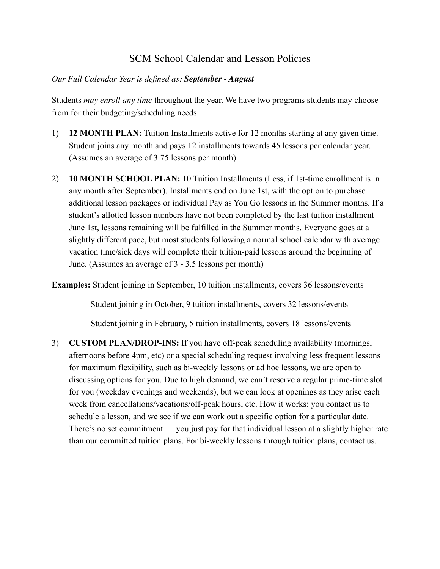# SCM School Calendar and Lesson Policies

## *Our Full Calendar Year is defined as: September - August*

Students *may enroll any time* throughout the year. We have two programs students may choose from for their budgeting/scheduling needs:

- 1) **12 MONTH PLAN:** Tuition Installments active for 12 months starting at any given time. Student joins any month and pays 12 installments towards 45 lessons per calendar year. (Assumes an average of 3.75 lessons per month)
- 2) **10 MONTH SCHOOL PLAN:** 10 Tuition Installments (Less, if 1st-time enrollment is in any month after September). Installments end on June 1st, with the option to purchase additional lesson packages or individual Pay as You Go lessons in the Summer months. If a student's allotted lesson numbers have not been completed by the last tuition installment June 1st, lessons remaining will be fulfilled in the Summer months. Everyone goes at a slightly different pace, but most students following a normal school calendar with average vacation time/sick days will complete their tuition-paid lessons around the beginning of June. (Assumes an average of 3 - 3.5 lessons per month)

**Examples:** Student joining in September, 10 tuition installments, covers 36 lessons/events

Student joining in October, 9 tuition installments, covers 32 lessons/events

Student joining in February, 5 tuition installments, covers 18 lessons/events

3) **CUSTOM PLAN/DROP-INS:** If you have off-peak scheduling availability (mornings, afternoons before 4pm, etc) or a special scheduling request involving less frequent lessons for maximum flexibility, such as bi-weekly lessons or ad hoc lessons, we are open to discussing options for you. Due to high demand, we can't reserve a regular prime-time slot for you (weekday evenings and weekends), but we can look at openings as they arise each week from cancellations/vacations/off-peak hours, etc. How it works: you contact us to schedule a lesson, and we see if we can work out a specific option for a particular date. There's no set commitment — you just pay for that individual lesson at a slightly higher rate than our committed tuition plans. For bi-weekly lessons through tuition plans, contact us.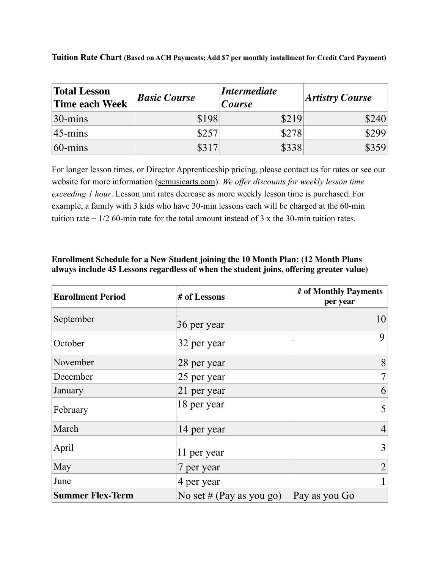| <b>Total Lesson</b><br>Time each Week | <b>Basic Course</b> | <i>Intermediate</i><br><b>Course</b> | <b>Artistry Course</b> |
|---------------------------------------|---------------------|--------------------------------------|------------------------|
| $ 30 - \text{mins} $                  | \$198               | \$219                                | \$240                  |
| $ 45 - \text{mins} $                  | \$257               | \$278                                | \$299                  |
| $60$ -mins                            |                     | \$338                                | \$359                  |

**Tuition Rate Chart (Based on ACH Payments; Add \$7 per monthly installment for Credit Card Payment)**

For longer lesson times, or Director Apprenticeship pricing, please contact us for rates or see our website for more information ([scmusicarts.com\)](http://scmusicarts.com). *We offer discounts for weekly lesson time exceeding 1 hour*. Lesson unit rates decrease as more weekly lesson time is purchased. For example, a family with 3 kids who have 30-min lessons each will be charged at the 60-min tuition rate  $+1/2$  60-min rate for the total amount instead of 3 x the 30-min tuition rates.

| <b>Enrollment Period</b> | # of Lessons             | # of Monthly Payments<br>per year |
|--------------------------|--------------------------|-----------------------------------|
| September                | 36 per year              | 10                                |
| October                  | 32 per year              | 9                                 |
| November                 | 28 per year              | 8                                 |
| December                 | 25 per year              | $\overline{7}$                    |
| January                  | 21 per year              | 6                                 |
| February                 | 18 per year              | 5                                 |
| March                    | 14 per year              | $\overline{4}$                    |
| April                    | 11 per year              | 3                                 |
| May                      | 7 per year               | $\overline{2}$                    |
| June                     | 4 per year               |                                   |
| <b>Summer Flex-Term</b>  | No set # (Pay as you go) | Pay as you Go                     |

#### **Enrollment Schedule for a New Student joining the 10 Month Plan: (12 Month Plans always include 45 Lessons regardless of when the student joins, offering greater value)**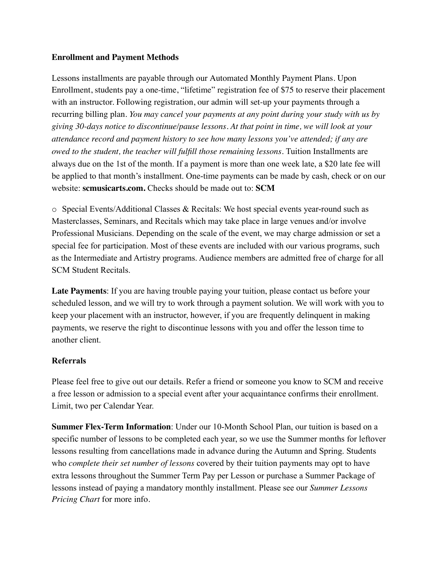### **Enrollment and Payment Methods**

Lessons installments are payable through our Automated Monthly Payment Plans. Upon Enrollment, students pay a one-time, "lifetime" registration fee of \$75 to reserve their placement with an instructor. Following registration, our admin will set-up your payments through a recurring billing plan. *You may cancel your payments at any point during your study with us by giving 30-days notice to discontinue/pause lessons. At that point in time, we will look at your attendance record and payment history to see how many lessons you've attended; if any are owed to the student, the teacher will fulfill those remaining lessons.* Tuition Installments are always due on the 1st of the month. If a payment is more than one week late, a \$20 late fee will be applied to that month's installment. One-time payments can be made by cash, check or on our website: **scmusicarts.com.** Checks should be made out to: **SCM**

o Special Events/Additional Classes & Recitals: We host special events year-round such as Masterclasses, Seminars, and Recitals which may take place in large venues and/or involve Professional Musicians. Depending on the scale of the event, we may charge admission or set a special fee for participation. Most of these events are included with our various programs, such as the Intermediate and Artistry programs. Audience members are admitted free of charge for all SCM Student Recitals.

**Late Payments**: If you are having trouble paying your tuition, please contact us before your scheduled lesson, and we will try to work through a payment solution. We will work with you to keep your placement with an instructor, however, if you are frequently delinquent in making payments, we reserve the right to discontinue lessons with you and offer the lesson time to another client.

## **Referrals**

Please feel free to give out our details. Refer a friend or someone you know to SCM and receive a free lesson or admission to a special event after your acquaintance confirms their enrollment. Limit, two per Calendar Year.

**Summer Flex-Term Information**: Under our 10-Month School Plan, our tuition is based on a specific number of lessons to be completed each year, so we use the Summer months for leftover lessons resulting from cancellations made in advance during the Autumn and Spring. Students who *complete their set number of lessons* covered by their tuition payments may opt to have extra lessons throughout the Summer Term Pay per Lesson or purchase a Summer Package of lessons instead of paying a mandatory monthly installment. Please see our *Summer Lessons Pricing Chart* for more info.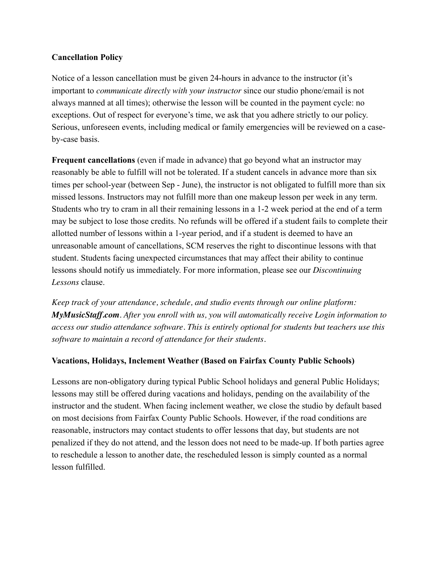## **Cancellation Policy**

Notice of a lesson cancellation must be given 24-hours in advance to the instructor (it's important to *communicate directly with your instructor* since our studio phone/email is not always manned at all times); otherwise the lesson will be counted in the payment cycle: no exceptions. Out of respect for everyone's time, we ask that you adhere strictly to our policy. Serious, unforeseen events, including medical or family emergencies will be reviewed on a caseby-case basis.

**Frequent cancellations** (even if made in advance) that go beyond what an instructor may reasonably be able to fulfill will not be tolerated. If a student cancels in advance more than six times per school-year (between Sep - June), the instructor is not obligated to fulfill more than six missed lessons. Instructors may not fulfill more than one makeup lesson per week in any term. Students who try to cram in all their remaining lessons in a 1-2 week period at the end of a term may be subject to lose those credits. No refunds will be offered if a student fails to complete their allotted number of lessons within a 1-year period, and if a student is deemed to have an unreasonable amount of cancellations, SCM reserves the right to discontinue lessons with that student. Students facing unexpected circumstances that may affect their ability to continue lessons should notify us immediately. For more information, please see our *Discontinuing Lessons* clause.

*Keep track of your attendance, schedule, and studio events through our online platform: MyMusicStaff.com. After you enroll with us, you will automatically receive Login information to access our studio attendance software. This is entirely optional for students but teachers use this software to maintain a record of attendance for their students.*

## **Vacations, Holidays, Inclement Weather (Based on Fairfax County Public Schools)**

Lessons are non-obligatory during typical Public School holidays and general Public Holidays; lessons may still be offered during vacations and holidays, pending on the availability of the instructor and the student. When facing inclement weather, we close the studio by default based on most decisions from Fairfax County Public Schools. However, if the road conditions are reasonable, instructors may contact students to offer lessons that day, but students are not penalized if they do not attend, and the lesson does not need to be made-up. If both parties agree to reschedule a lesson to another date, the rescheduled lesson is simply counted as a normal lesson fulfilled.